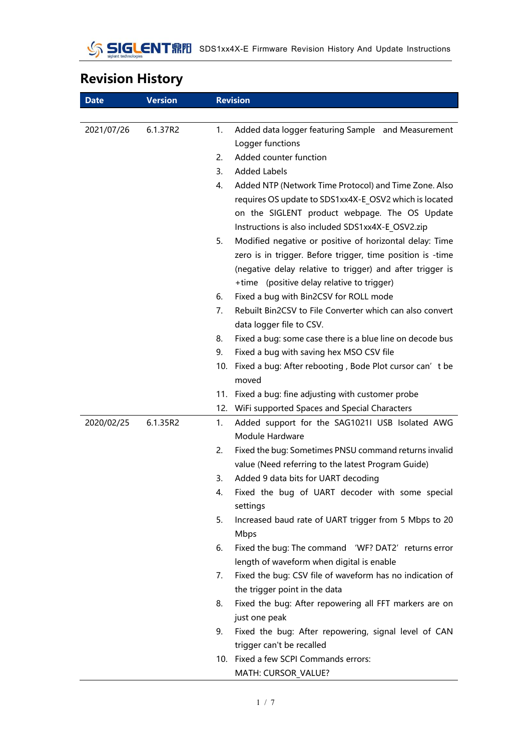# **Revision History**

| <b>Date</b> | <b>Version</b> | <b>Revision</b>                                                                                                                                                                                                                        |  |
|-------------|----------------|----------------------------------------------------------------------------------------------------------------------------------------------------------------------------------------------------------------------------------------|--|
|             |                |                                                                                                                                                                                                                                        |  |
| 2021/07/26  | 6.1.37R2       | 1.<br>Added data logger featuring Sample and Measurement<br>Logger functions                                                                                                                                                           |  |
|             |                | Added counter function<br>2.                                                                                                                                                                                                           |  |
|             |                | $\overline{3}$ .<br><b>Added Labels</b>                                                                                                                                                                                                |  |
|             |                | 4.<br>Added NTP (Network Time Protocol) and Time Zone. Also                                                                                                                                                                            |  |
|             |                | requires OS update to SDS1xx4X-E OSV2 which is located<br>on the SIGLENT product webpage. The OS Update<br>Instructions is also included SDS1xx4X-E OSV2.zip                                                                           |  |
|             |                | Modified negative or positive of horizontal delay: Time<br>5.<br>zero is in trigger. Before trigger, time position is -time<br>(negative delay relative to trigger) and after trigger is<br>+time (positive delay relative to trigger) |  |
|             |                | Fixed a bug with Bin2CSV for ROLL mode<br>6.                                                                                                                                                                                           |  |
|             |                | Rebuilt Bin2CSV to File Converter which can also convert<br>7.<br>data logger file to CSV.                                                                                                                                             |  |
|             |                | Fixed a bug: some case there is a blue line on decode bus<br>8.                                                                                                                                                                        |  |
|             |                | Fixed a bug with saving hex MSO CSV file<br>9.                                                                                                                                                                                         |  |
|             |                | Fixed a bug: After rebooting, Bode Plot cursor can' t be<br>10.<br>moved                                                                                                                                                               |  |
|             |                | 11. Fixed a bug: fine adjusting with customer probe                                                                                                                                                                                    |  |
|             |                | WiFi supported Spaces and Special Characters<br>12.                                                                                                                                                                                    |  |
| 2020/02/25  | 6.1.35R2       | Added support for the SAG1021I USB Isolated AWG<br>1.<br>Module Hardware                                                                                                                                                               |  |
|             |                | Fixed the bug: Sometimes PNSU command returns invalid<br>2.<br>value (Need referring to the latest Program Guide)                                                                                                                      |  |
|             |                | Added 9 data bits for UART decoding<br>3.                                                                                                                                                                                              |  |
|             |                | Fixed the bug of UART decoder with some special<br>4.<br>settings                                                                                                                                                                      |  |
|             |                | Increased baud rate of UART trigger from 5 Mbps to 20<br>5.<br>Mbps                                                                                                                                                                    |  |
|             |                | Fixed the bug: The command 'WF? DAT2' returns error<br>6.<br>length of waveform when digital is enable                                                                                                                                 |  |
|             |                | Fixed the bug: CSV file of waveform has no indication of<br>7.<br>the trigger point in the data                                                                                                                                        |  |
|             |                | 8.<br>Fixed the bug: After repowering all FFT markers are on<br>just one peak                                                                                                                                                          |  |
|             |                | Fixed the bug: After repowering, signal level of CAN<br>9.                                                                                                                                                                             |  |
|             |                | trigger can't be recalled                                                                                                                                                                                                              |  |
|             |                | 10. Fixed a few SCPI Commands errors:                                                                                                                                                                                                  |  |
|             |                | MATH: CURSOR_VALUE?                                                                                                                                                                                                                    |  |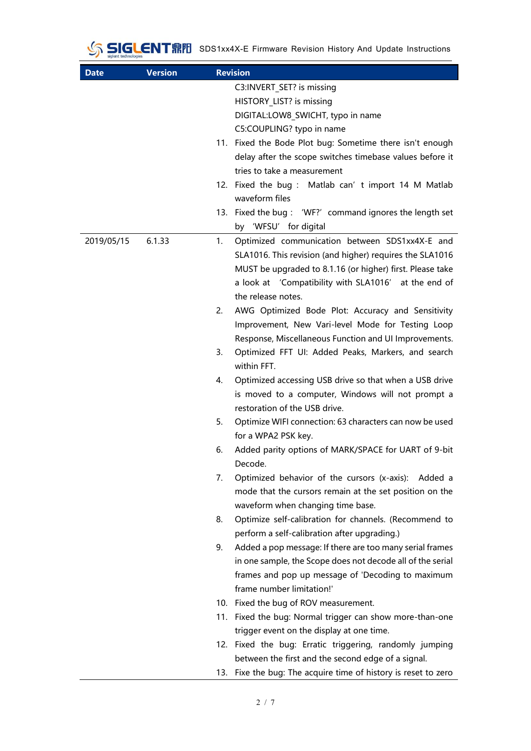SIGLENT RIVE SDS1xx4X-E Firmware Revision History And Update Instructions

| <b>Date</b> | <b>Version</b> | <b>Revision</b>                                                                                  |
|-------------|----------------|--------------------------------------------------------------------------------------------------|
|             |                | C3:INVERT SET? is missing                                                                        |
|             |                | HISTORY LIST? is missing                                                                         |
|             |                | DIGITAL:LOW8_SWICHT, typo in name                                                                |
|             |                | C5:COUPLING? typo in name                                                                        |
|             |                | 11. Fixed the Bode Plot bug: Sometime there isn't enough                                         |
|             |                | delay after the scope switches timebase values before it                                         |
|             |                | tries to take a measurement                                                                      |
|             |                | 12. Fixed the bug: Matlab can' t import 14 M Matlab                                              |
|             |                | waveform files                                                                                   |
|             |                | 13. Fixed the bug: 'WF?' command ignores the length set                                          |
|             |                | by 'WFSU' for digital                                                                            |
| 2019/05/15  | 6.1.33         | Optimized communication between SDS1xx4X-E and<br>1.                                             |
|             |                | SLA1016. This revision (and higher) requires the SLA1016                                         |
|             |                | MUST be upgraded to 8.1.16 (or higher) first. Please take                                        |
|             |                | a look at 'Compatibility with SLA1016' at the end of                                             |
|             |                | the release notes.                                                                               |
|             |                | AWG Optimized Bode Plot: Accuracy and Sensitivity<br>2.                                          |
|             |                | Improvement, New Vari-level Mode for Testing Loop                                                |
|             |                | Response, Miscellaneous Function and UI Improvements.                                            |
|             |                | Optimized FFT UI: Added Peaks, Markers, and search<br>3.                                         |
|             |                | within FFT.                                                                                      |
|             |                | Optimized accessing USB drive so that when a USB drive<br>4.                                     |
|             |                | is moved to a computer, Windows will not prompt a                                                |
|             |                | restoration of the USB drive.                                                                    |
|             |                | 5.<br>Optimize WIFI connection: 63 characters can now be used                                    |
|             |                | for a WPA2 PSK key.                                                                              |
|             |                | Added parity options of MARK/SPACE for UART of 9-bit<br>6.                                       |
|             |                | Decode.                                                                                          |
|             |                | Optimized behavior of the cursors (x-axis): Added a<br>7.                                        |
|             |                | mode that the cursors remain at the set position on the                                          |
|             |                | waveform when changing time base.<br>Optimize self-calibration for channels. (Recommend to<br>8. |
|             |                | perform a self-calibration after upgrading.)                                                     |
|             |                | Added a pop message: If there are too many serial frames<br>9.                                   |
|             |                | in one sample, the Scope does not decode all of the serial                                       |
|             |                | frames and pop up message of 'Decoding to maximum                                                |
|             |                | frame number limitation!'                                                                        |
|             |                | 10. Fixed the bug of ROV measurement.                                                            |
|             |                | 11. Fixed the bug: Normal trigger can show more-than-one                                         |
|             |                | trigger event on the display at one time.                                                        |
|             |                | 12. Fixed the bug: Erratic triggering, randomly jumping                                          |
|             |                | between the first and the second edge of a signal.                                               |
|             |                | 13. Fixe the bug: The acquire time of history is reset to zero                                   |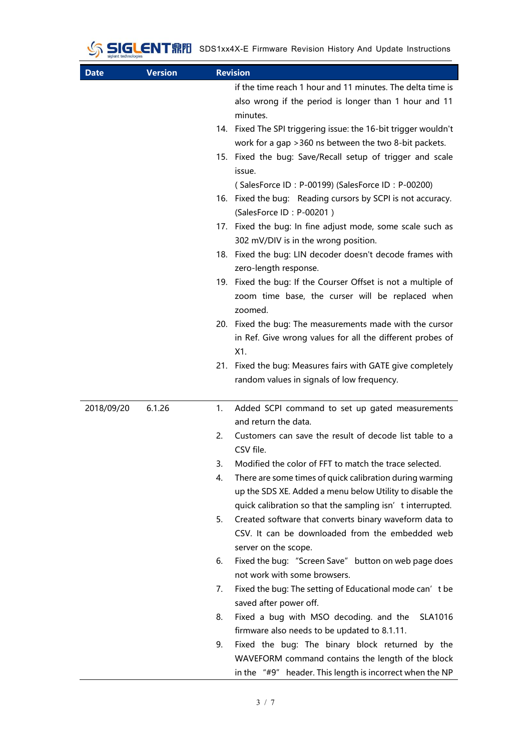| <b>Date</b> | <b>Version</b> |    | <b>Revision</b>                                                                                   |  |
|-------------|----------------|----|---------------------------------------------------------------------------------------------------|--|
|             |                |    | if the time reach 1 hour and 11 minutes. The delta time is                                        |  |
|             |                |    | also wrong if the period is longer than 1 hour and 11                                             |  |
|             |                |    | minutes.                                                                                          |  |
|             |                |    | 14. Fixed The SPI triggering issue: the 16-bit trigger wouldn't                                   |  |
|             |                |    | work for a gap > 360 ns between the two 8-bit packets.                                            |  |
|             |                |    | 15. Fixed the bug: Save/Recall setup of trigger and scale                                         |  |
|             |                |    | issue.                                                                                            |  |
|             |                |    | (SalesForce ID: P-00199) (SalesForce ID: P-00200)                                                 |  |
|             |                |    | 16. Fixed the bug: Reading cursors by SCPI is not accuracy.<br>(SalesForce ID: P-00201)           |  |
|             |                |    | 17. Fixed the bug: In fine adjust mode, some scale such as                                        |  |
|             |                |    | 302 mV/DIV is in the wrong position.                                                              |  |
|             |                |    | 18. Fixed the bug: LIN decoder doesn't decode frames with<br>zero-length response.                |  |
|             |                |    | 19. Fixed the bug: If the Courser Offset is not a multiple of                                     |  |
|             |                |    | zoom time base, the curser will be replaced when<br>zoomed.                                       |  |
|             |                |    | 20. Fixed the bug: The measurements made with the cursor                                          |  |
|             |                |    | in Ref. Give wrong values for all the different probes of                                         |  |
|             |                |    | X1.                                                                                               |  |
|             |                |    | 21. Fixed the bug: Measures fairs with GATE give completely                                       |  |
|             |                |    | random values in signals of low frequency.                                                        |  |
|             |                |    |                                                                                                   |  |
| 2018/09/20  | 6.1.26         | 1. | Added SCPI command to set up gated measurements                                                   |  |
|             |                |    | and return the data.                                                                              |  |
|             |                | 2. | Customers can save the result of decode list table to a<br>CSV file.                              |  |
|             |                | 3. | Modified the color of FFT to match the trace selected.                                            |  |
|             |                | 4. | There are some times of quick calibration during warming                                          |  |
|             |                |    | up the SDS XE. Added a menu below Utility to disable the                                          |  |
|             |                |    | quick calibration so that the sampling isn' t interrupted.                                        |  |
|             |                | 5. | Created software that converts binary waveform data to                                            |  |
|             |                |    | CSV. It can be downloaded from the embedded web                                                   |  |
|             |                |    | server on the scope.                                                                              |  |
|             |                | 6. | Fixed the bug: "Screen Save" button on web page does<br>not work with some browsers.              |  |
|             |                | 7. | Fixed the bug: The setting of Educational mode can' t be                                          |  |
|             |                |    | saved after power off.                                                                            |  |
|             |                | 8. | Fixed a bug with MSO decoding. and the<br>SLA1016<br>firmware also needs to be updated to 8.1.11. |  |
|             |                | 9. | Fixed the bug: The binary block returned by the                                                   |  |
|             |                |    | WAVEFORM command contains the length of the block                                                 |  |
|             |                |    | in the "#9" header. This length is incorrect when the NP                                          |  |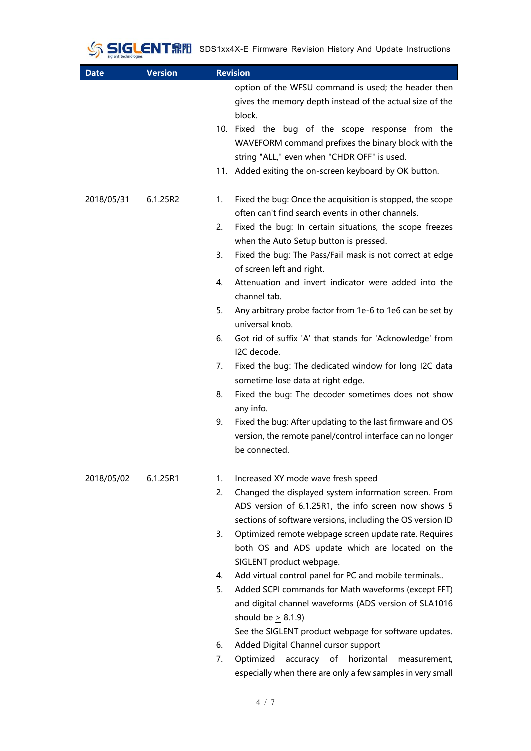## SIGLENTRIP SDS1xx4X-E Firmware Revision History And Update Instructions

| <b>Date</b> | <b>Version</b> | <b>Revision</b> |                                                                                                                   |
|-------------|----------------|-----------------|-------------------------------------------------------------------------------------------------------------------|
|             |                |                 | option of the WFSU command is used; the header then<br>gives the memory depth instead of the actual size of the   |
|             |                |                 | block.                                                                                                            |
|             |                |                 | 10. Fixed the bug of the scope response from the                                                                  |
|             |                |                 | WAVEFORM command prefixes the binary block with the                                                               |
|             |                |                 | string "ALL," even when "CHDR OFF" is used.                                                                       |
|             |                |                 | 11. Added exiting the on-screen keyboard by OK button.                                                            |
| 2018/05/31  | 6.1.25R2       | 1.              | Fixed the bug: Once the acquisition is stopped, the scope<br>often can't find search events in other channels.    |
|             |                | 2.              | Fixed the bug: In certain situations, the scope freezes                                                           |
|             |                |                 | when the Auto Setup button is pressed.                                                                            |
|             |                | 3.              | Fixed the bug: The Pass/Fail mask is not correct at edge                                                          |
|             |                |                 | of screen left and right.                                                                                         |
|             |                | 4.              | Attenuation and invert indicator were added into the<br>channel tab.                                              |
|             |                | 5.              | Any arbitrary probe factor from 1e-6 to 1e6 can be set by<br>universal knob.                                      |
|             |                | 6.              | Got rid of suffix 'A' that stands for 'Acknowledge' from<br>I2C decode.                                           |
|             |                | 7.              | Fixed the bug: The dedicated window for long I2C data<br>sometime lose data at right edge.                        |
|             |                | 8.              | Fixed the bug: The decoder sometimes does not show                                                                |
|             |                | 9.              | any info.<br>Fixed the bug: After updating to the last firmware and OS                                            |
|             |                |                 | version, the remote panel/control interface can no longer                                                         |
|             |                |                 | be connected.                                                                                                     |
| 2018/05/02  | 6.1.25R1       | 1.              | Increased XY mode wave fresh speed                                                                                |
|             |                | 2.              | Changed the displayed system information screen. From                                                             |
|             |                |                 | ADS version of 6.1.25R1, the info screen now shows 5                                                              |
|             |                |                 | sections of software versions, including the OS version ID                                                        |
|             |                | 3.              | Optimized remote webpage screen update rate. Requires<br>both OS and ADS update which are located on the          |
|             |                |                 | SIGLENT product webpage.                                                                                          |
|             |                | 4.              | Add virtual control panel for PC and mobile terminals                                                             |
|             |                | 5.              | Added SCPI commands for Math waveforms (except FFT)                                                               |
|             |                |                 | and digital channel waveforms (ADS version of SLA1016                                                             |
|             |                |                 | should be $> 8.1.9$ )                                                                                             |
|             |                |                 | See the SIGLENT product webpage for software updates.                                                             |
|             |                | 6.              | Added Digital Channel cursor support                                                                              |
|             |                | 7.              | accuracy of horizontal<br>Optimized<br>measurement,<br>especially when there are only a few samples in very small |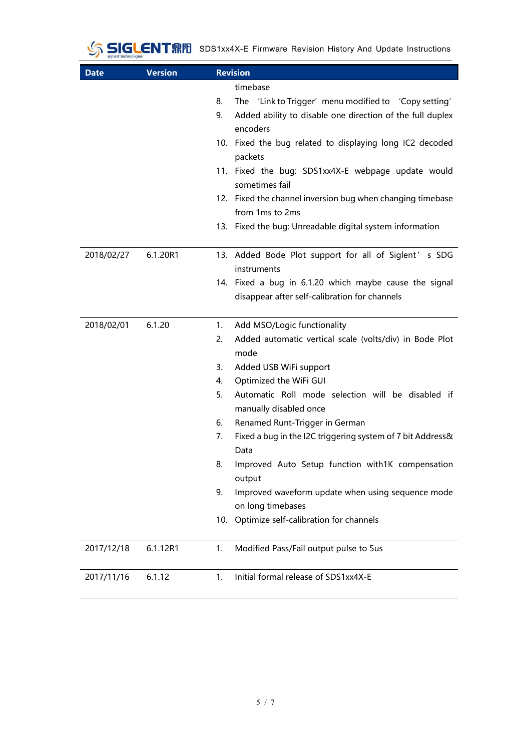## SIGLENTRIP SDS1xx4X-E Firmware Revision History And Update Instructions

| <b>Date</b> | <b>Version</b> | <b>Revision</b>                                                                                                                                                                                                                                                                                                                                                                                                                                                                                                                                                                          |  |  |
|-------------|----------------|------------------------------------------------------------------------------------------------------------------------------------------------------------------------------------------------------------------------------------------------------------------------------------------------------------------------------------------------------------------------------------------------------------------------------------------------------------------------------------------------------------------------------------------------------------------------------------------|--|--|
|             |                | timebase<br>The 'Link to Trigger' menu modified to 'Copy setting'<br>8.<br>Added ability to disable one direction of the full duplex<br>9.<br>encoders<br>10. Fixed the bug related to displaying long IC2 decoded<br>packets<br>11. Fixed the bug: SDS1xx4X-E webpage update would<br>sometimes fail<br>12. Fixed the channel inversion bug when changing timebase<br>from 1ms to 2ms<br>13. Fixed the bug: Unreadable digital system information                                                                                                                                       |  |  |
| 2018/02/27  | 6.1.20R1       | 13. Added Bode Plot support for all of Siglent' s SDG<br>instruments<br>14. Fixed a bug in 6.1.20 which maybe cause the signal<br>disappear after self-calibration for channels                                                                                                                                                                                                                                                                                                                                                                                                          |  |  |
| 2018/02/01  | 6.1.20         | Add MSO/Logic functionality<br>1.<br>Added automatic vertical scale (volts/div) in Bode Plot<br>2.<br>mode<br>3.<br>Added USB WiFi support<br>Optimized the WiFi GUI<br>4.<br>Automatic Roll mode selection will be disabled if<br>5.<br>manually disabled once<br>Renamed Runt-Trigger in German<br>6.<br>Fixed a bug in the I2C triggering system of 7 bit Address&<br>7.<br>Data<br>Improved Auto Setup function with1K compensation<br>8.<br>output<br>9.<br>Improved waveform update when using sequence mode<br>on long timebases<br>Optimize self-calibration for channels<br>10. |  |  |
| 2017/12/18  | 6.1.12R1       | Modified Pass/Fail output pulse to 5us<br>1.                                                                                                                                                                                                                                                                                                                                                                                                                                                                                                                                             |  |  |
| 2017/11/16  | 6.1.12         | Initial formal release of SDS1xx4X-E<br>1.                                                                                                                                                                                                                                                                                                                                                                                                                                                                                                                                               |  |  |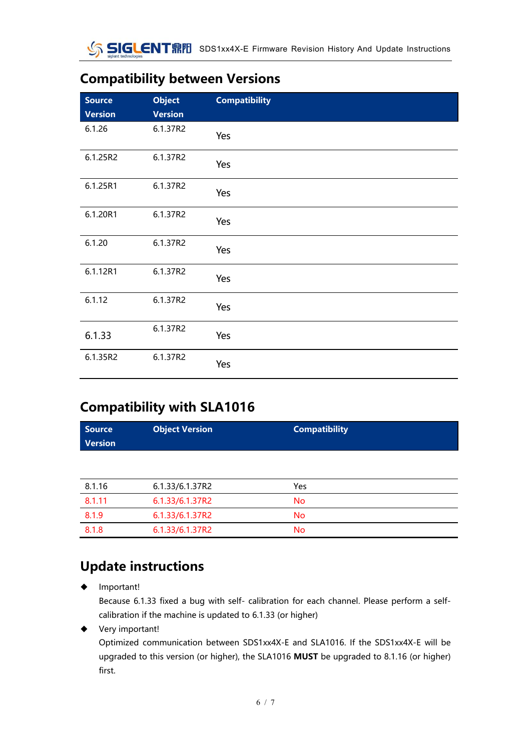### **Compatibility between Versions**

| <b>Source</b><br><b>Version</b> | <b>Object</b><br><b>Version</b> | <b>Compatibility</b> |
|---------------------------------|---------------------------------|----------------------|
| 6.1.26                          | 6.1.37R2                        | Yes                  |
| 6.1.25R2                        | 6.1.37R2                        | Yes                  |
| 6.1.25R1                        | 6.1.37R2                        | Yes                  |
| 6.1.20R1                        | 6.1.37R2                        | Yes                  |
| 6.1.20                          | 6.1.37R2                        | Yes                  |
| 6.1.12R1                        | 6.1.37R2                        | Yes                  |
| 6.1.12                          | 6.1.37R2                        | Yes                  |
| 6.1.33                          | 6.1.37R2                        | Yes                  |
| 6.1.35R2                        | 6.1.37R2                        | Yes                  |

### **Compatibility with SLA1016**

| <b>Source</b><br><b>Version</b> | <b>Object Version</b> | <b>Compatibility</b> |
|---------------------------------|-----------------------|----------------------|
|                                 |                       |                      |
| 8.1.16                          | 6.1.33/6.1.37R2       | Yes                  |
| 8.1.11                          | 6.1.33/6.1.37R2       | No.                  |
| 8.1.9                           | 6.1.33/6.1.37R2       | No.                  |
| 8.1.8                           | 6.1.33/6.1.37R2       | <b>No</b>            |

### **Update instructions**

Important!

Because 6.1.33 fixed a bug with self- calibration for each channel. Please perform a selfcalibration if the machine is updated to 6.1.33 (or higher)

◆ Very important!

Optimized communication between SDS1xx4X-E and SLA1016. If the SDS1xx4X-E will be upgraded to this version (or higher), the SLA1016 **MUST** be upgraded to 8.1.16 (or higher) first.